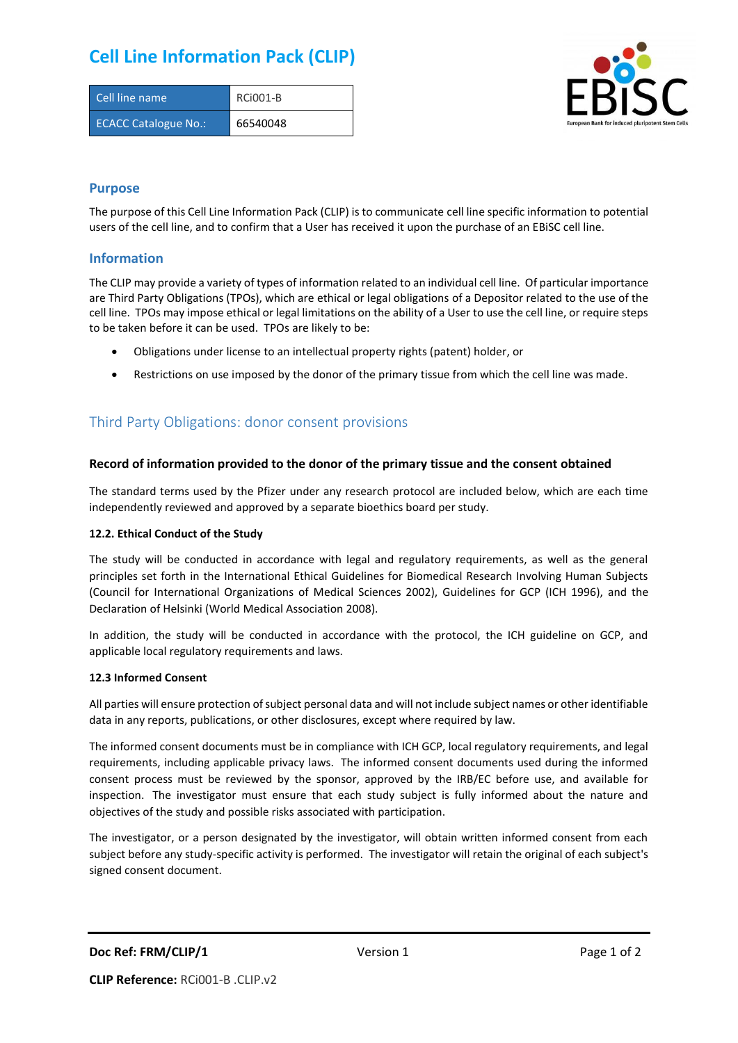# **Cell Line Information Pack (CLIP)**

| Cell line name              | <b>RCi001-B</b> |
|-----------------------------|-----------------|
| <b>ECACC Catalogue No.:</b> | 66540048        |



### **Purpose**

The purpose of this Cell Line Information Pack (CLIP) is to communicate cell line specific information to potential users of the cell line, and to confirm that a User has received it upon the purchase of an EBiSC cell line.

### **Information**

The CLIP may provide a variety of types of information related to an individual cell line. Of particular importance are Third Party Obligations (TPOs), which are ethical or legal obligations of a Depositor related to the use of the cell line. TPOs may impose ethical or legal limitations on the ability of a User to use the cell line, or require steps to be taken before it can be used. TPOs are likely to be:

- Obligations under license to an intellectual property rights (patent) holder, or
- Restrictions on use imposed by the donor of the primary tissue from which the cell line was made.

## Third Party Obligations: donor consent provisions

#### **Record of information provided to the donor of the primary tissue and the consent obtained**

The standard terms used by the Pfizer under any research protocol are included below, which are each time independently reviewed and approved by a separate bioethics board per study.

#### **12.2. Ethical Conduct of the Study**

The study will be conducted in accordance with legal and regulatory requirements, as well as the general principles set forth in the International Ethical Guidelines for Biomedical Research Involving Human Subjects (Council for International Organizations of Medical Sciences 2002), Guidelines for GCP (ICH 1996), and the Declaration of Helsinki (World Medical Association 2008).

In addition, the study will be conducted in accordance with the protocol, the ICH guideline on GCP, and applicable local regulatory requirements and laws.

#### **12.3 Informed Consent**

All parties will ensure protection of subject personal data and will not include subject names or other identifiable data in any reports, publications, or other disclosures, except where required by law.

The informed consent documents must be in compliance with ICH GCP, local regulatory requirements, and legal requirements, including applicable privacy laws. The informed consent documents used during the informed consent process must be reviewed by the sponsor, approved by the IRB/EC before use, and available for inspection. The investigator must ensure that each study subject is fully informed about the nature and objectives of the study and possible risks associated with participation.

The investigator, or a person designated by the investigator, will obtain written informed consent from each subject before any study-specific activity is performed. The investigator will retain the original of each subject's signed consent document.

**Doc Ref: FRM/CLIP/1** Version 1 **Page 1 of 2**